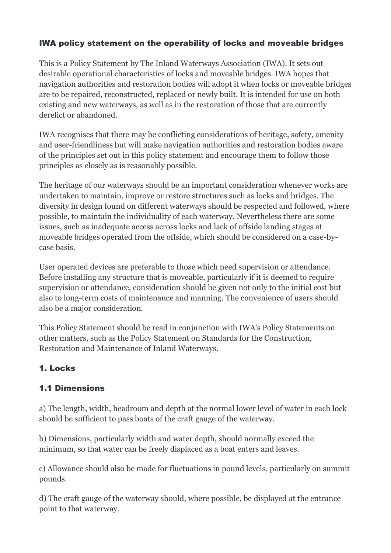#### IWA policy statement on the operability of locks and moveable bridges

This is a Policy Statement by The Inland Waterways Association (IWA). It sets out desirable operational characteristics of locks and moveable bridges. IWA hopes that navigation authorities and restoration bodies will adopt it when locks or moveable bridges are to be repaired, reconstructed, replaced or newly built. It is intended for use on both existing and new waterways, as well as in the restoration of those that are currently derelict or abandoned.

IWA recognises that there may be conflicting considerations of heritage, safety, amenity and user-friendliness but will make navigation authorities and restoration bodies aware of the principles set out in this policy statement and encourage them to follow those principles as closely as is reasonably possible.

The heritage of our waterways should be an important consideration whenever works are undertaken to maintain, improve or restore structures such as locks and bridges. The diversity in design found on different waterways should be respected and followed, where possible, to maintain the individuality of each waterway. Nevertheless there are some issues, such as inadequate access across locks and lack of offside landing stages at moveable bridges operated from the offside, which should be considered on a case-bycase basis.

User operated devices are preferable to those which need supervision or attendance. Before installing any structure that is moveable, particularly if it is deemed to require supervision or attendance, consideration should be given not only to the initial cost but also to long-term costs of maintenance and manning. The convenience of users should also be a major consideration.

This Policy Statement should be read in conjunction with IWA's Policy Statements on other matters, such as the Policy Statement on Standards for the Construction, Restoration and Maintenance of Inland Waterways.

#### 1. Locks

#### 1.1 Dimensions

a) The length, width, headroom and depth at the normal lower level of water in each lock should be sufficient to pass boats of the craft gauge of the waterway.

b) Dimensions, particularly width and water depth, should normally exceed the minimum, so that water can be freely displaced as a boat enters and leaves.

c) Allowance should also be made for fluctuations in pound levels, particularly on summit pounds.

d) The craft gauge of the waterway should, where possible, be displayed at the entrance point to that waterway.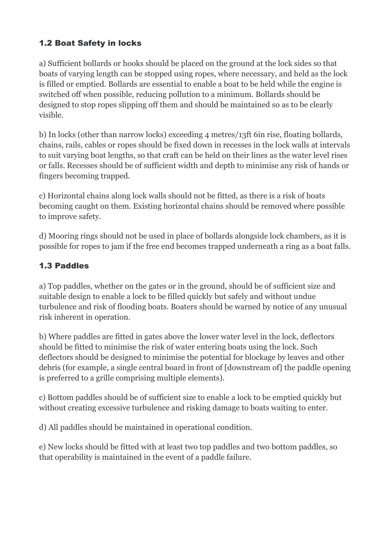## 1.2 Boat Safety in locks

a) Sufficient bollards or hooks should be placed on the ground at the lock sides so that boats of varying length can be stopped using ropes, where necessary, and held as the lock is filled or emptied. Bollards are essential to enable a boat to be held while the engine is switched off when possible, reducing pollution to a minimum. Bollards should be designed to stop ropes slipping off them and should be maintained so as to be clearly visible.

b) In locks (other than narrow locks) exceeding 4 metres/13ft 6in rise, floating bollards, chains, rails, cables or ropes should be fixed down in recesses in the lock walls at intervals to suit varying boat lengths, so that craft can be held on their lines as the water level rises or falls. Recesses should be of sufficient width and depth to minimise any risk of hands or fingers becoming trapped.

c) Horizontal chains along lock walls should not be fitted, as there is a risk of boats becoming caught on them. Existing horizontal chains should be removed where possible to improve safety.

d) Mooring rings should not be used in place of bollards alongside lock chambers, as it is possible for ropes to jam if the free end becomes trapped underneath a ring as a boat falls.

## 1.3 Paddles

a) Top paddles, whether on the gates or in the ground, should be of sufficient size and suitable design to enable a lock to be filled quickly but safely and without undue turbulence and risk of flooding boats. Boaters should be warned by notice of any unusual risk inherent in operation.

b) Where paddles are fitted in gates above the lower water level in the lock, deflectors should be fitted to minimise the risk of water entering boats using the lock. Such deflectors should be designed to minimise the potential for blockage by leaves and other debris (for example, a single central board in front of [downstream of] the paddle opening is preferred to a grille comprising multiple elements).

c) Bottom paddles should be of sufficient size to enable a lock to be emptied quickly but without creating excessive turbulence and risking damage to boats waiting to enter.

d) All paddles should be maintained in operational condition.

e) New locks should be fitted with at least two top paddles and two bottom paddles, so that operability is maintained in the event of a paddle failure.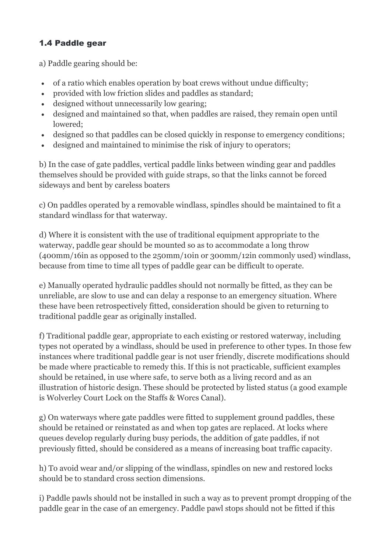## 1.4 Paddle gear

a) Paddle gearing should be:

- of a ratio which enables operation by boat crews without undue difficulty;
- provided with low friction slides and paddles as standard;
- designed without unnecessarily low gearing;
- designed and maintained so that, when paddles are raised, they remain open until lowered;
- designed so that paddles can be closed quickly in response to emergency conditions;
- designed and maintained to minimise the risk of injury to operators;

b) In the case of gate paddles, vertical paddle links between winding gear and paddles themselves should be provided with guide straps, so that the links cannot be forced sideways and bent by careless boaters

c) On paddles operated by a removable windlass, spindles should be maintained to fit a standard windlass for that waterway.

d) Where it is consistent with the use of traditional equipment appropriate to the waterway, paddle gear should be mounted so as to accommodate a long throw (400mm/16in as opposed to the 250mm/10in or 300mm/12in commonly used) windlass, because from time to time all types of paddle gear can be difficult to operate.

e) Manually operated hydraulic paddles should not normally be fitted, as they can be unreliable, are slow to use and can delay a response to an emergency situation. Where these have been retrospectively fitted, consideration should be given to returning to traditional paddle gear as originally installed.

f) Traditional paddle gear, appropriate to each existing or restored waterway, including types not operated by a windlass, should be used in preference to other types. In those few instances where traditional paddle gear is not user friendly, discrete modifications should be made where practicable to remedy this. If this is not practicable, sufficient examples should be retained, in use where safe, to serve both as a living record and as an illustration of historic design. These should be protected by listed status (a good example is Wolverley Court Lock on the Staffs & Worcs Canal).

g) On waterways where gate paddles were fitted to supplement ground paddles, these should be retained or reinstated as and when top gates are replaced. At locks where queues develop regularly during busy periods, the addition of gate paddles, if not previously fitted, should be considered as a means of increasing boat traffic capacity.

h) To avoid wear and/or slipping of the windlass, spindles on new and restored locks should be to standard cross section dimensions.

i) Paddle pawls should not be installed in such a way as to prevent prompt dropping of the paddle gear in the case of an emergency. Paddle pawl stops should not be fitted if this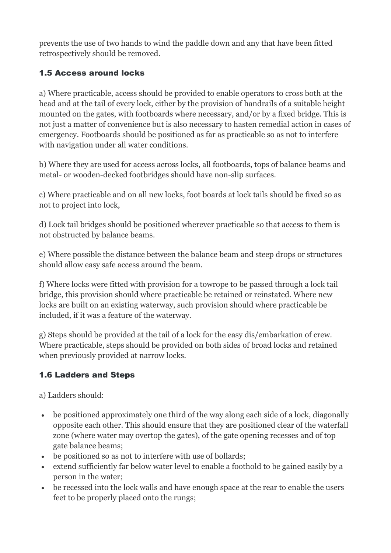prevents the use of two hands to wind the paddle down and any that have been fitted retrospectively should be removed.

#### 1.5 Access around locks

a) Where practicable, access should be provided to enable operators to cross both at the head and at the tail of every lock, either by the provision of handrails of a suitable height mounted on the gates, with footboards where necessary, and/or by a fixed bridge. This is not just a matter of convenience but is also necessary to hasten remedial action in cases of emergency. Footboards should be positioned as far as practicable so as not to interfere with navigation under all water conditions.

b) Where they are used for access across locks, all footboards, tops of balance beams and metal- or wooden-decked footbridges should have non-slip surfaces.

c) Where practicable and on all new locks, foot boards at lock tails should be fixed so as not to project into lock,

d) Lock tail bridges should be positioned wherever practicable so that access to them is not obstructed by balance beams.

e) Where possible the distance between the balance beam and steep drops or structures should allow easy safe access around the beam.

f) Where locks were fitted with provision for a towrope to be passed through a lock tail bridge, this provision should where practicable be retained or reinstated. Where new locks are built on an existing waterway, such provision should where practicable be included, if it was a feature of the waterway.

g) Steps should be provided at the tail of a lock for the easy dis/embarkation of crew. Where practicable, steps should be provided on both sides of broad locks and retained when previously provided at narrow locks.

#### 1.6 Ladders and Steps

a) Ladders should:

- be positioned approximately one third of the way along each side of a lock, diagonally opposite each other. This should ensure that they are positioned clear of the waterfall zone (where water may overtop the gates), of the gate opening recesses and of top gate balance beams;
- be positioned so as not to interfere with use of bollards;
- extend sufficiently far below water level to enable a foothold to be gained easily by a person in the water;
- be recessed into the lock walls and have enough space at the rear to enable the users feet to be properly placed onto the rungs;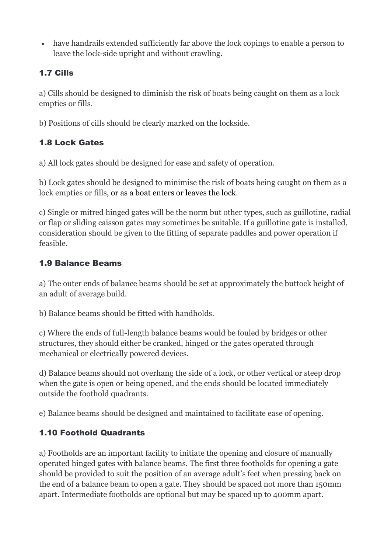have handrails extended sufficiently far above the lock copings to enable a person to leave the lock-side upright and without crawling.

## 1.7 Cills

a) Cills should be designed to diminish the risk of boats being caught on them as a lock empties or fills.

b) Positions of cills should be clearly marked on the lockside.

# 1.8 Lock Gates

a) All lock gates should be designed for ease and safety of operation.

b) Lock gates should be designed to minimise the risk of boats being caught on them as a lock empties or fills, or as a boat enters or leaves the lock.

c) Single or mitred hinged gates will be the norm but other types, such as guillotine, radial or flap or sliding caisson gates may sometimes be suitable. If a guillotine gate is installed, consideration should be given to the fitting of separate paddles and power operation if feasible.

## 1.9 Balance Beams

a) The outer ends of balance beams should be set at approximately the buttock height of an adult of average build.

b) Balance beams should be fitted with handholds.

c) Where the ends of full-length balance beams would be fouled by bridges or other structures, they should either be cranked, hinged or the gates operated through mechanical or electrically powered devices.

d) Balance beams should not overhang the side of a lock, or other vertical or steep drop when the gate is open or being opened, and the ends should be located immediately outside the foothold quadrants.

e) Balance beams should be designed and maintained to facilitate ease of opening.

# 1.10 Foothold Quadrants

a) Footholds are an important facility to initiate the opening and closure of manually operated hinged gates with balance beams. The first three footholds for opening a gate should be provided to suit the position of an average adult's feet when pressing back on the end of a balance beam to open a gate. They should be spaced not more than 150mm apart. Intermediate footholds are optional but may be spaced up to 400mm apart.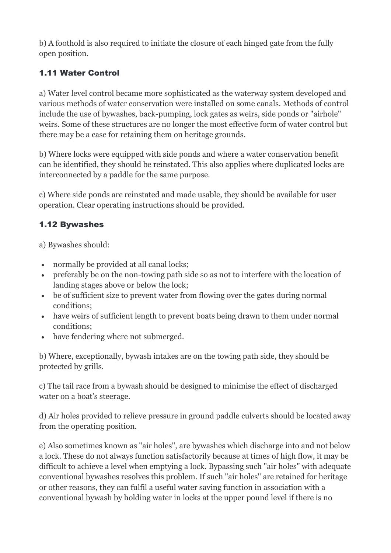b) A foothold is also required to initiate the closure of each hinged gate from the fully open position.

## 1.11 Water Control

a) Water level control became more sophisticated as the waterway system developed and various methods of water conservation were installed on some canals. Methods of control include the use of bywashes, back-pumping, lock gates as weirs, side ponds or "airhole" weirs. Some of these structures are no longer the most effective form of water control but there may be a case for retaining them on heritage grounds.

b) Where locks were equipped with side ponds and where a water conservation benefit can be identified, they should be reinstated. This also applies where duplicated locks are interconnected by a paddle for the same purpose.

c) Where side ponds are reinstated and made usable, they should be available for user operation. Clear operating instructions should be provided.

## 1.12 Bywashes

a) Bywashes should:

- normally be provided at all canal locks;
- preferably be on the non-towing path side so as not to interfere with the location of landing stages above or below the lock;
- be of sufficient size to prevent water from flowing over the gates during normal conditions;
- have weirs of sufficient length to prevent boats being drawn to them under normal conditions;
- have fendering where not submerged.

b) Where, exceptionally, bywash intakes are on the towing path side, they should be protected by grills.

c) The tail race from a bywash should be designed to minimise the effect of discharged water on a boat's steerage.

d) Air holes provided to relieve pressure in ground paddle culverts should be located away from the operating position.

e) Also sometimes known as "air holes", are bywashes which discharge into and not below a lock. These do not always function satisfactorily because at times of high flow, it may be difficult to achieve a level when emptying a lock. Bypassing such "air holes" with adequate conventional bywashes resolves this problem. If such "air holes" are retained for heritage or other reasons, they can fulfil a useful water saving function in association with a conventional bywash by holding water in locks at the upper pound level if there is no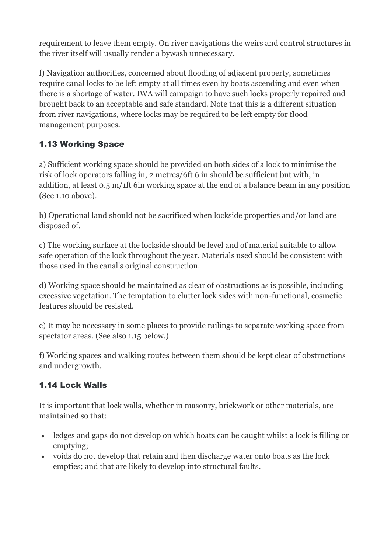requirement to leave them empty. On river navigations the weirs and control structures in the river itself will usually render a bywash unnecessary.

f) Navigation authorities, concerned about flooding of adjacent property, sometimes require canal locks to be left empty at all times even by boats ascending and even when there is a shortage of water. IWA will campaign to have such locks properly repaired and brought back to an acceptable and safe standard. Note that this is a different situation from river navigations, where locks may be required to be left empty for flood management purposes.

# 1.13 Working Space

a) Sufficient working space should be provided on both sides of a lock to minimise the risk of lock operators falling in, 2 metres/6ft 6 in should be sufficient but with, in addition, at least 0.5 m/1ft 6in working space at the end of a balance beam in any position (See 1.10 above).

b) Operational land should not be sacrificed when lockside properties and/or land are disposed of.

c) The working surface at the lockside should be level and of material suitable to allow safe operation of the lock throughout the year. Materials used should be consistent with those used in the canal's original construction.

d) Working space should be maintained as clear of obstructions as is possible, including excessive vegetation. The temptation to clutter lock sides with non-functional, cosmetic features should be resisted.

e) It may be necessary in some places to provide railings to separate working space from spectator areas. (See also 1.15 below.)

f) Working spaces and walking routes between them should be kept clear of obstructions and undergrowth.

## 1.14 Lock Walls

It is important that lock walls, whether in masonry, brickwork or other materials, are maintained so that:

- ledges and gaps do not develop on which boats can be caught whilst a lock is filling or emptying;
- voids do not develop that retain and then discharge water onto boats as the lock empties; and that are likely to develop into structural faults.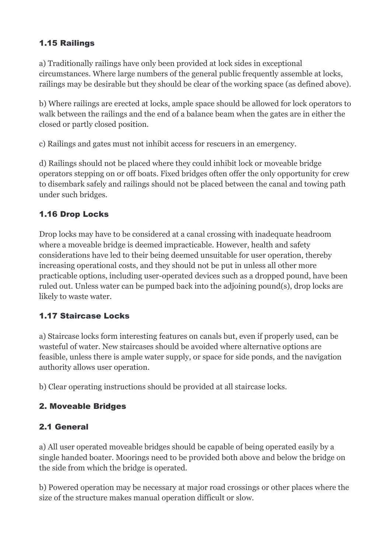#### 1.15 Railings

a) Traditionally railings have only been provided at lock sides in exceptional circumstances. Where large numbers of the general public frequently assemble at locks, railings may be desirable but they should be clear of the working space (as defined above).

b) Where railings are erected at locks, ample space should be allowed for lock operators to walk between the railings and the end of a balance beam when the gates are in either the closed or partly closed position.

c) Railings and gates must not inhibit access for rescuers in an emergency.

d) Railings should not be placed where they could inhibit lock or moveable bridge operators stepping on or off boats. Fixed bridges often offer the only opportunity for crew to disembark safely and railings should not be placed between the canal and towing path under such bridges.

## 1.16 Drop Locks

Drop locks may have to be considered at a canal crossing with inadequate headroom where a moveable bridge is deemed impracticable. However, health and safety considerations have led to their being deemed unsuitable for user operation, thereby increasing operational costs, and they should not be put in unless all other more practicable options, including user-operated devices such as a dropped pound, have been ruled out. Unless water can be pumped back into the adjoining pound(s), drop locks are likely to waste water.

#### 1.17 Staircase Locks

a) Staircase locks form interesting features on canals but, even if properly used, can be wasteful of water. New staircases should be avoided where alternative options are feasible, unless there is ample water supply, or space for side ponds, and the navigation authority allows user operation.

b) Clear operating instructions should be provided at all staircase locks.

#### 2. Moveable Bridges

#### 2.1 General

a) All user operated moveable bridges should be capable of being operated easily by a single handed boater. Moorings need to be provided both above and below the bridge on the side from which the bridge is operated.

b) Powered operation may be necessary at major road crossings or other places where the size of the structure makes manual operation difficult or slow.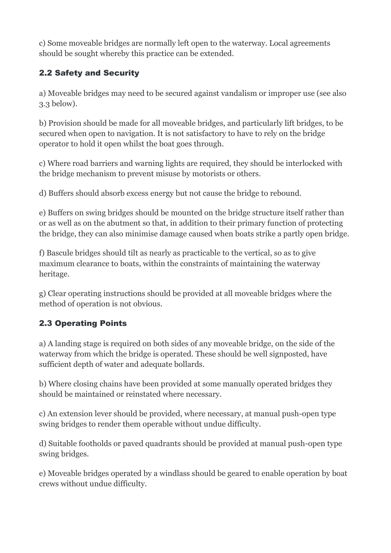c) Some moveable bridges are normally left open to the waterway. Local agreements should be sought whereby this practice can be extended.

# 2.2 Safety and Security

a) Moveable bridges may need to be secured against vandalism or improper use (see also 3.3 below).

b) Provision should be made for all moveable bridges, and particularly lift bridges, to be secured when open to navigation. It is not satisfactory to have to rely on the bridge operator to hold it open whilst the boat goes through.

c) Where road barriers and warning lights are required, they should be interlocked with the bridge mechanism to prevent misuse by motorists or others.

d) Buffers should absorb excess energy but not cause the bridge to rebound.

e) Buffers on swing bridges should be mounted on the bridge structure itself rather than or as well as on the abutment so that, in addition to their primary function of protecting the bridge, they can also minimise damage caused when boats strike a partly open bridge.

f) Bascule bridges should tilt as nearly as practicable to the vertical, so as to give maximum clearance to boats, within the constraints of maintaining the waterway heritage.

g) Clear operating instructions should be provided at all moveable bridges where the method of operation is not obvious.

# 2.3 Operating Points

a) A landing stage is required on both sides of any moveable bridge, on the side of the waterway from which the bridge is operated. These should be well signposted, have sufficient depth of water and adequate bollards.

b) Where closing chains have been provided at some manually operated bridges they should be maintained or reinstated where necessary.

c) An extension lever should be provided, where necessary, at manual push-open type swing bridges to render them operable without undue difficulty.

d) Suitable footholds or paved quadrants should be provided at manual push-open type swing bridges.

e) Moveable bridges operated by a windlass should be geared to enable operation by boat crews without undue difficulty.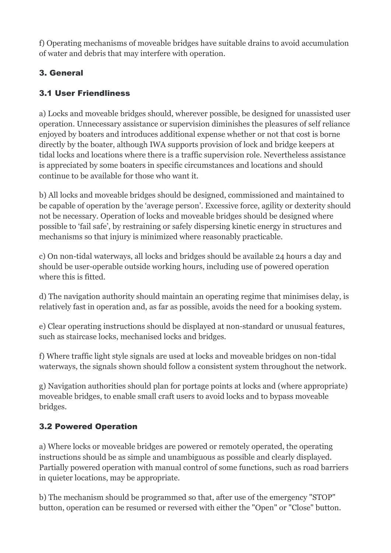f) Operating mechanisms of moveable bridges have suitable drains to avoid accumulation of water and debris that may interfere with operation.

# 3. General

# 3.1 User Friendliness

a) Locks and moveable bridges should, wherever possible, be designed for unassisted user operation. Unnecessary assistance or supervision diminishes the pleasures of self reliance enjoyed by boaters and introduces additional expense whether or not that cost is borne directly by the boater, although IWA supports provision of lock and bridge keepers at tidal locks and locations where there is a traffic supervision role. Nevertheless assistance is appreciated by some boaters in specific circumstances and locations and should continue to be available for those who want it.

b) All locks and moveable bridges should be designed, commissioned and maintained to be capable of operation by the 'average person'. Excessive force, agility or dexterity should not be necessary. Operation of locks and moveable bridges should be designed where possible to 'fail safe', by restraining or safely dispersing kinetic energy in structures and mechanisms so that injury is minimized where reasonably practicable.

c) On non-tidal waterways, all locks and bridges should be available 24 hours a day and should be user-operable outside working hours, including use of powered operation where this is fitted.

d) The navigation authority should maintain an operating regime that minimises delay, is relatively fast in operation and, as far as possible, avoids the need for a booking system.

e) Clear operating instructions should be displayed at non-standard or unusual features, such as staircase locks, mechanised locks and bridges.

f) Where traffic light style signals are used at locks and moveable bridges on non-tidal waterways, the signals shown should follow a consistent system throughout the network.

g) Navigation authorities should plan for portage points at locks and (where appropriate) moveable bridges, to enable small craft users to avoid locks and to bypass moveable bridges.

## 3.2 Powered Operation

a) Where locks or moveable bridges are powered or remotely operated, the operating instructions should be as simple and unambiguous as possible and clearly displayed. Partially powered operation with manual control of some functions, such as road barriers in quieter locations, may be appropriate.

b) The mechanism should be programmed so that, after use of the emergency "STOP" button, operation can be resumed or reversed with either the "Open" or "Close" button.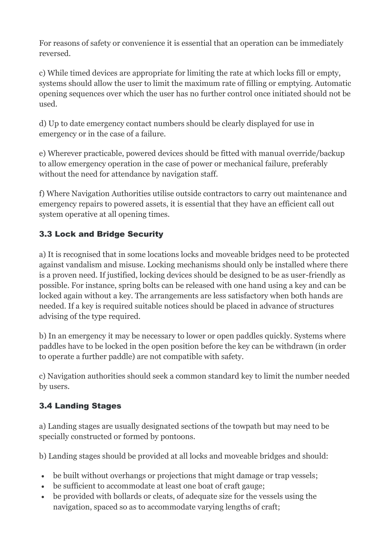For reasons of safety or convenience it is essential that an operation can be immediately reversed.

c) While timed devices are appropriate for limiting the rate at which locks fill or empty, systems should allow the user to limit the maximum rate of filling or emptying. Automatic opening sequences over which the user has no further control once initiated should not be used.

d) Up to date emergency contact numbers should be clearly displayed for use in emergency or in the case of a failure.

e) Wherever practicable, powered devices should be fitted with manual override/backup to allow emergency operation in the case of power or mechanical failure, preferably without the need for attendance by navigation staff.

f) Where Navigation Authorities utilise outside contractors to carry out maintenance and emergency repairs to powered assets, it is essential that they have an efficient call out system operative at all opening times.

# 3.3 Lock and Bridge Security

a) It is recognised that in some locations locks and moveable bridges need to be protected against vandalism and misuse. Locking mechanisms should only be installed where there is a proven need. If justified, locking devices should be designed to be as user-friendly as possible. For instance, spring bolts can be released with one hand using a key and can be locked again without a key. The arrangements are less satisfactory when both hands are needed. If a key is required suitable notices should be placed in advance of structures advising of the type required.

b) In an emergency it may be necessary to lower or open paddles quickly. Systems where paddles have to be locked in the open position before the key can be withdrawn (in order to operate a further paddle) are not compatible with safety.

c) Navigation authorities should seek a common standard key to limit the number needed by users.

## 3.4 Landing Stages

a) Landing stages are usually designated sections of the towpath but may need to be specially constructed or formed by pontoons.

b) Landing stages should be provided at all locks and moveable bridges and should:

- be built without overhangs or projections that might damage or trap vessels;
- be sufficient to accommodate at least one boat of craft gauge;
- be provided with bollards or cleats, of adequate size for the vessels using the navigation, spaced so as to accommodate varying lengths of craft;